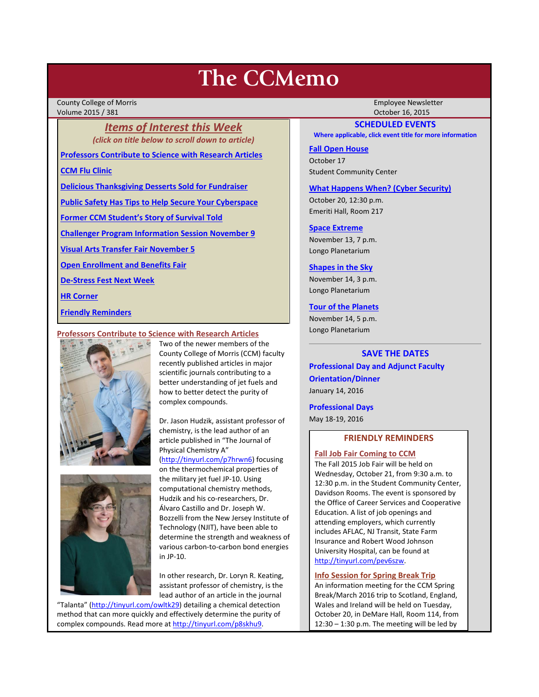# **The CCMemo**

County College of Morris Employee Newsletter Volume 2015 / 381 October 16, 2015

*Items of Interest this Week (click on title below to scroll down to article)*

**[Professors Contribute to Science with Research Articles](#page-0-0)**

**[CCM Flu Clinic](#page-1-0)**

**[Delicious Thanksgiving Desserts Sold for Fundraiser](#page-1-1)**

**[Public Safety Has Tips to Help Secure Your Cyberspace](#page-1-2)**

**[Former CCM Student's Story of Survival Told](#page-1-3)**

**[Challenger Program Information Session November 9](#page-2-0)**

**[Visual Arts Transfer Fair November 5](#page-2-1)**

**[Open Enrollment and Benefits Fair](#page-2-2)**

**[De-Stress Fest Next Week](#page-2-3)**

**[HR Corner](#page-2-4)**

**[Friendly Reminders](#page-0-1)**

#### <span id="page-0-0"></span>**Professors Contribute to Science with Research Articles**





Two of the newer members of the County College of Morris (CCM) faculty recently published articles in major scientific journals contributing to a better understanding of jet fuels and how to better detect the purity of complex compounds.

Dr. Jason Hudzik, assistant professor of chemistry, is the lead author of an article published in "The Journal of Physical Chemistry A"

[\(http://tinyurl.com/p7hrwn6\)](http://tinyurl.com/p7hrwn6) focusing on the thermochemical properties of the military jet fuel JP-10. Using computational chemistry methods, Hudzik and his co-researchers, Dr. Álvaro Castillo and Dr. Joseph W. Bozzelli from the New Jersey Institute of Technology (NJIT), have been able to determine the strength and weakness of various carbon-to-carbon bond energies in JP-10.

In other research, Dr. Loryn R. Keating, assistant professor of chemistry, is the lead author of an article in the journal

"Talanta" [\(http://tinyurl.com/owltk29\)](http://tinyurl.com/owltk29) detailing a chemical detection method that can more quickly and effectively determine the purity of complex compounds. Read more at http://tinyurl.com/p8skhu9.

## **SCHEDULED EVENTS**

**Where applicable, click event title for more information**

## **[Fall Open House](http://www.ccm.edu/newsEvents/newsDetails.aspx?Channel=%2fChannels%2fSitewide&WorkflowItemID=a1cea02d-b22e-4024-86b7-ce41a9677b56)**

October 17 Student Community Center

#### **[What Happens When? \(Cyber Security\)](http://www.ccm.edu/newsEvents/newsDetails.aspx?Channel=%2fChannels%2fSitewide&WorkflowItemID=fbbd72e6-48df-4111-ad04-3e1a44cc25d2)**

October 20, 12:30 p.m. Emeriti Hall, Room 217

#### **[Space Extreme](http://www.ccm.edu/newsEvents/eventDetails.aspx?Channel=/Channels/Sitewide&WorkflowItemID=1874a4b0-0bcb-4ed1-a29e-7b4f8d25e45d)**

November 13, 7 p.m. Longo Planetarium

## **[Shapes in the Sky](http://www.ccm.edu/newsEvents/eventDetails.aspx?Channel=/Channels/Sitewide&WorkflowItemID=1922c928-86d3-4e75-b6a2-fd618033989c)**

November 14, 3 p.m. Longo Planetarium

## **[Tour of the Planets](http://www.ccm.edu/newsEvents/eventDetails.aspx?Channel=/Channels/Sitewide&WorkflowItemID=5834aa20-68ba-4fa2-a3ac-75b2311ba441)**

November 14, 5 p.m. Longo Planetarium

## **SAVE THE DATES**

**Professional Day and Adjunct Faculty Orientation/Dinner** January 14, 2016

**Professional Days**

<span id="page-0-1"></span>May 18-19, 2016

# **FRIENDLY REMINDERS**

## **Fall Job Fair Coming to CCM**

The Fall 2015 Job Fair will be held on Wednesday, October 21, from 9:30 a.m. to 12:30 p.m. in the Student Community Center, Davidson Rooms. The event is sponsored by the Office of Career Services and Cooperative Education. A list of job openings and attending employers, which currently includes AFLAC, NJ Transit, State Farm Insurance and Robert Wood Johnson University Hospital, can be found at [http://tinyurl.com/pev6szw.](http://tinyurl.com/pev6szw)

## **Info Session for Spring Break Trip**

An information meeting for the CCM Spring Break/March 2016 trip to Scotland, England, Wales and Ireland will be held on Tuesday, October 20, in DeMare Hall, Room 114, from 12:30 – 1:30 p.m. The meeting will be led by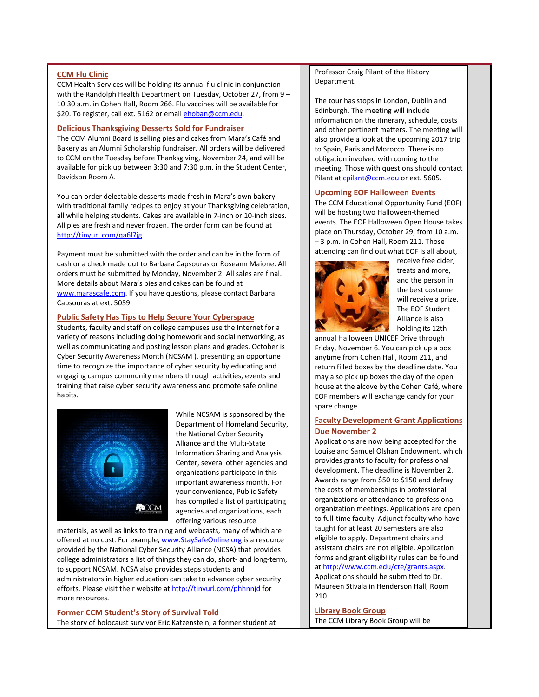#### <span id="page-1-0"></span>**CCM Flu Clinic**

CCM Health Services will be holding its annual flu clinic in conjunction with the Randolph Health Department on Tuesday, October 27, from 9 – 10:30 a.m. in Cohen Hall, Room 266. Flu vaccines will be available for \$20. To register, call ext. 5162 or emai[l ehoban@ccm.edu.](mailto:ehoban@ccm.edu)

#### <span id="page-1-1"></span>**Delicious Thanksgiving Desserts Sold for Fundraiser**

The CCM Alumni Board is selling pies and cakes from Mara's Café and Bakery as an Alumni Scholarship fundraiser. All orders will be delivered to CCM on the Tuesday before Thanksgiving, November 24, and will be available for pick up between 3:30 and 7:30 p.m. in the Student Center, Davidson Room A.

You can order delectable desserts made fresh in Mara's own bakery with traditional family recipes to enjoy at your Thanksgiving celebration, all while helping students. Cakes are available in 7-inch or 10-inch sizes. All pies are fresh and never frozen. The order form can be found at [http://tinyurl.com/qa6l7jg.](http://tinyurl.com/qa6l7jg) 

Payment must be submitted with the order and can be in the form of cash or a check made out to Barbara Capsouras or Roseann Maione. All orders must be submitted by Monday, November 2. All sales are final. More details about Mara's pies and cakes can be found at [www.marascafe.com.](http://www.marascafe.com/) If you have questions, please contact Barbara Capsouras at ext. 5059.

## <span id="page-1-2"></span>**Public Safety Has Tips to Help Secure Your Cyberspace**

Students, faculty and staff on college campuses use the Internet for a variety of reasons including doing homework and social networking, as well as communicating and posting lesson plans and grades. October is Cyber Security Awareness Month (NCSAM ), presenting an opportune time to recognize the importance of cyber security by educating and engaging campus community members through activities, events and training that raise cyber security awareness and promote safe online habits.



While NCSAM is sponsored by the Department of Homeland Security, the National Cyber Security Alliance and the Multi-State Information Sharing and Analysis Center, several other agencies and organizations participate in this important awareness month. For your convenience, Public Safety has compiled a list of participating agencies and organizations, each offering various resource

materials, as well as links to training and webcasts, many of which are offered at no cost. For example[, www.StaySafeOnline.org](http://www.staysafeonline.org/) is a resource provided by the National Cyber Security Alliance (NCSA) that provides college administrators a list of things they can do, short- and long-term, to support NCSAM. NCSA also provides steps students and administrators in higher education can take to advance cyber security efforts. Please visit their website at http://tinyurl.com/phhnnid for more resources.

<span id="page-1-3"></span>**Former CCM Student's Story of Survival Told** The story of holocaust survivor Eric Katzenstein, a former student at Professor Craig Pilant of the History Department.

The tour has stops in London, Dublin and Edinburgh. The meeting will include information on the itinerary, schedule, costs and other pertinent matters. The meeting will also provide a look at the upcoming 2017 trip to Spain, Paris and Morocco. There is no obligation involved with coming to the meeting. Those with questions should contact Pilant at [cpilant@ccm.edu](mailto:cpilant@ccm.edu) or ext. 5605.

## **Upcoming EOF Halloween Events**

The CCM Educational Opportunity Fund (EOF) will be hosting two Halloween-themed events. The EOF Halloween Open House takes place on Thursday, October 29, from 10 a.m. – 3 p.m. in Cohen Hall, Room 211. Those attending can find out what EOF is all about,



receive free cider, treats and more, and the person in the best costume will receive a prize. The EOF Student Alliance is also holding its 12th

annual Halloween UNICEF Drive through Friday, November 6. You can pick up a box anytime from Cohen Hall, Room 211, and return filled boxes by the deadline date. You may also pick up boxes the day of the open house at the alcove by the Cohen Café, where EOF members will exchange candy for your spare change.

## **Faculty Development Grant Applications Due November 2**

Applications are now being accepted for the Louise and Samuel Olshan Endowment, which provides grants to faculty for professional development. The deadline is November 2. Awards range from \$50 to \$150 and defray the costs of memberships in professional organizations or attendance to professional organization meetings. Applications are open to full-time faculty. Adjunct faculty who have taught for at least 20 semesters are also eligible to apply. Department chairs and assistant chairs are not eligible. Application forms and grant eligibility rules can be found at [http://www.ccm.edu/cte/grants.aspx.](http://www.ccm.edu/cte/grants.aspx)  Applications should be submitted to Dr. Maureen Stivala in Henderson Hall, Room 210.

**Library Book Group**  The CCM Library Book Group will be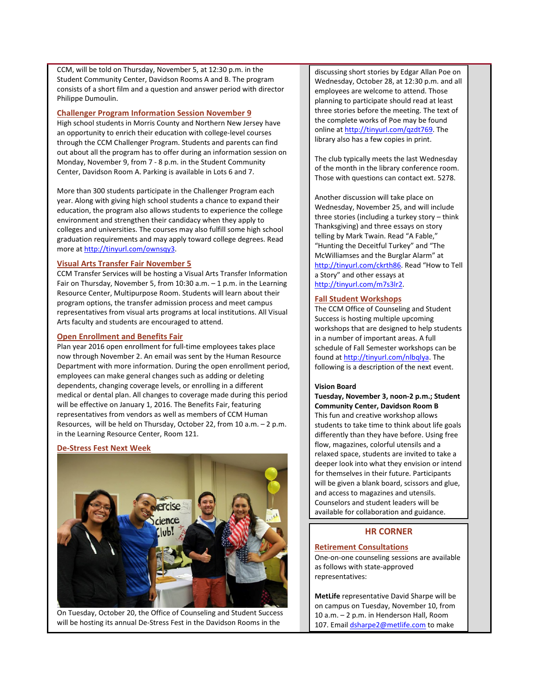CCM, will be told on Thursday, November 5, at 12:30 p.m. in the Student Community Center, Davidson Rooms A and B. The program consists of a short film and a question and answer period with director Philippe Dumoulin.

#### <span id="page-2-0"></span>**Challenger Program Information Session November 9**

High school students in Morris County and Northern New Jersey have an opportunity to enrich their education with college-level courses through the CCM Challenger Program. Students and parents can find out about all the program has to offer during an information session on Monday, November 9, from 7 - 8 p.m. in the Student Community Center, Davidson Room A. Parking is available in Lots 6 and 7.

More than 300 students participate in the Challenger Program each year. Along with giving high school students a chance to expand their education, the program also allows students to experience the college environment and strengthen their candidacy when they apply to colleges and universities. The courses may also fulfill some high school graduation requirements and may apply toward college degrees. Read more a[t http://tinyurl.com/ownsqy3.](http://tinyurl.com/ownsqy3)

## <span id="page-2-1"></span>**Visual Arts Transfer Fair November 5**

CCM Transfer Services will be hosting a Visual Arts Transfer Information Fair on Thursday, November 5, from 10:30 a.m. – 1 p.m. in the Learning Resource Center, Multipurpose Room. Students will learn about their program options, the transfer admission process and meet campus representatives from visual arts programs at local institutions. All Visual Arts faculty and students are encouraged to attend.

#### <span id="page-2-2"></span>**Open Enrollment and Benefits Fair**

Plan year 2016 open enrollment for full-time employees takes place now through November 2. An email was sent by the Human Resource Department with more information. During the open enrollment period, employees can make general changes such as adding or deleting dependents, changing coverage levels, or enrolling in a different medical or dental plan. All changes to coverage made during this period will be effective on January 1, 2016. The Benefits Fair, featuring representatives from vendors as well as members of CCM Human Resources, will be held on Thursday, October 22, from 10 a.m. – 2 p.m. in the Learning Resource Center, Room 121.

## <span id="page-2-3"></span>**De-Stress Fest Next Week**



On Tuesday, October 20, the Office of Counseling and Student Success will be hosting its annual De-Stress Fest in the Davidson Rooms in the

discussing short stories by Edgar Allan Poe on Wednesday, October 28, at 12:30 p.m. and all employees are welcome to attend. Those planning to participate should read at least three stories before the meeting. The text of the complete works of Poe may be found online at [http://tinyurl.com/qzdt769.](http://tinyurl.com/qzdt769) The library also has a few copies in print.

The club typically meets the last Wednesday of the month in the library conference room. Those with questions can contact ext. 5278.

Another discussion will take place on Wednesday, November 25, and will include three stories (including a turkey story – think Thanksgiving) and three essays on story telling by Mark Twain. Read "A Fable," "Hunting the Deceitful Turkey" and "The McWilliamses and the Burglar Alarm" at [http://tinyurl.com/ckrth86.](http://tinyurl.com/ckrth86) Read "How to Tell a Story" and other essays at [http://tinyurl.com/m7s3lr2.](http://tinyurl.com/m7s3lr2) 

#### **Fall Student Workshops**

The CCM Office of Counseling and Student Success is hosting multiple upcoming workshops that are designed to help students in a number of important areas. A full schedule of Fall Semester workshops can be found a[t http://tinyurl.com/nlbqlya.](http://tinyurl.com/nlbqlya) The following is a description of the next event.

#### **Vision Board**

**Tuesday, November 3, noon-2 p.m.; Student Community Center, Davidson Room B** This fun and creative workshop allows students to take time to think about life goals differently than they have before. Using free flow, magazines, colorful utensils and a relaxed space, students are invited to take a deeper look into what they envision or intend for themselves in their future. Participants will be given a blank board, scissors and glue, and access to magazines and utensils. Counselors and student leaders will be available for collaboration and guidance.

#### **HR CORNER**

## <span id="page-2-4"></span>**Retirement Consultations**

One-on-one counseling sessions are available as follows with state-approved representatives:

**MetLife** representative David Sharpe will be on campus on Tuesday, November 10, from 10 a.m. – 2 p.m. in Henderson Hall, Room 107. Emai[l dsharpe2@metlife.com](mailto:dsharpe2@metlife.com) to make